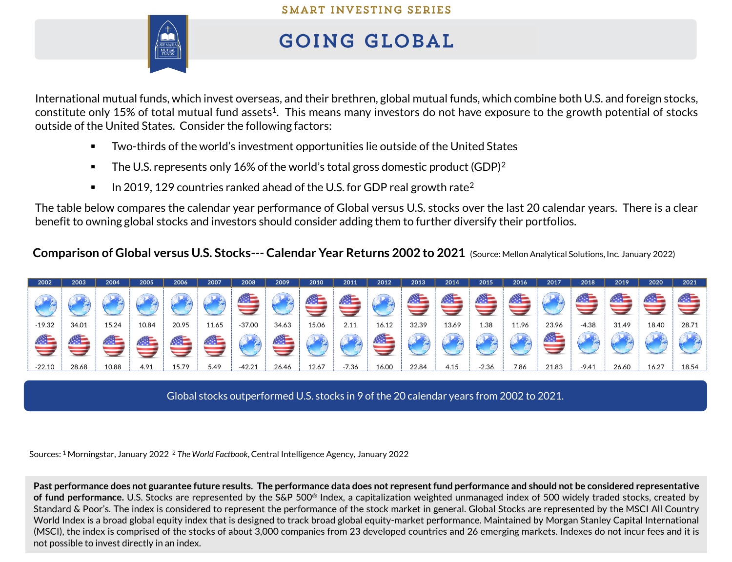

## **GOING GLOBAL**

International mutual funds, which invest overseas, and their brethren, global mutual funds, which combine both U.S. and foreign stocks, constitute only 15% of total mutual fund assets $^1$ . This means many investors do not have exposure to the growth potential of stocks outside of the United States. Consider the following factors:

- Two-thirds of the world's investment opportunities lie outside of the United States
- **•** The U.S. represents only 16% of the world's total gross domestic product (GDP)<sup>2</sup>
- **•** In 2019, 129 countries ranked ahead of the U.S. for GDP real growth rate<sup>2</sup>

The table below compares the calendar year performance of Global versus U.S. stocks over the last 20 calendar years. There is a clear benefit to owning global stocks and investors should consider adding them to further diversify their portfolios.

**Comparison of Global versus U.S. Stocks--- Calendar Year Returns 2002 to 2021** (Source: Mellon Analytical Solutions, Inc. January 2022)



Global stocks outperformed U.S. stocks in 9 of the 20 calendar years from 2002 to 2021.

Sources: <sup>1</sup> Morningstar, January 2022 <sup>2</sup> *The World Factbook*, Central Intelligence Agency, January 2022

Past performance does not guarantee future results. The performance data does not represent fund performance and should not be considered representative **of fund performance.** U.S. Stocks are represented by the S&P 500® Index, a capitalization weighted unmanaged index of 500 widely traded stocks, created by Standard & Poor's. The index is considered to represent the performance of the stock market in general. Global Stocks are represented by the MSCI All Country World Index is a broad global equity index that is designed to track broad global equity-market performance. Maintained by Morgan Stanley Capital International (MSCI), the index is comprised of the stocks of about 3,000 companies from 23 developed countries and 26 emerging markets. Indexes do not incur fees and it is not possible to invest directly in an index.